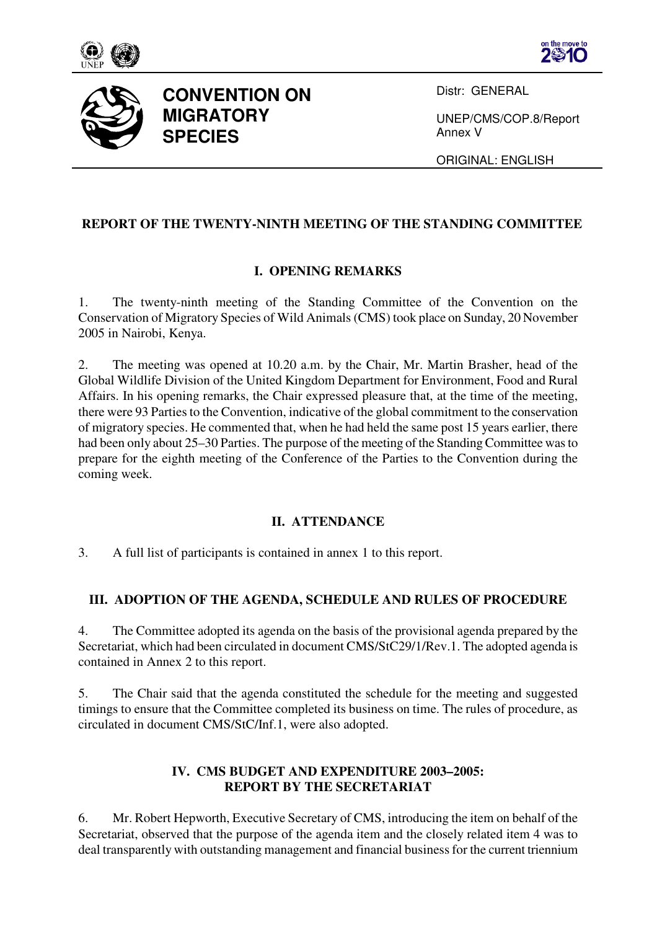





# **CONVENTION ON MIGRATORY SPECIES**

Distr: GENERAL

UNEP/CMS/COP.8/Report Annex V

ORIGINAL: ENGLISH

### **REPORT OF THE TWENTY-NINTH MEETING OF THE STANDING COMMITTEE**

### **I. OPENING REMARKS**

1. The twenty-ninth meeting of the Standing Committee of the Convention on the Conservation of Migratory Species of Wild Animals (CMS) took place on Sunday, 20 November 2005 in Nairobi, Kenya.

2. The meeting was opened at 10.20 a.m. by the Chair, Mr. Martin Brasher, head of the Global Wildlife Division of the United Kingdom Department for Environment, Food and Rural Affairs. In his opening remarks, the Chair expressed pleasure that, at the time of the meeting, there were 93 Parties to the Convention, indicative of the global commitment to the conservation of migratory species. He commented that, when he had held the same post 15 years earlier, there had been only about 25–30 Parties. The purpose of the meeting of the Standing Committee was to prepare for the eighth meeting of the Conference of the Parties to the Convention during the coming week.

#### **II. ATTENDANCE**

3. A full list of participants is contained in annex 1 to this report.

#### **III. ADOPTION OF THE AGENDA, SCHEDULE AND RULES OF PROCEDURE**

4. The Committee adopted its agenda on the basis of the provisional agenda prepared by the Secretariat, which had been circulated in document CMS/StC29/1/Rev.1. The adopted agenda is contained in Annex 2 to this report.

5. The Chair said that the agenda constituted the schedule for the meeting and suggested timings to ensure that the Committee completed its business on time. The rules of procedure, as circulated in document CMS/StC/Inf.1, were also adopted.

### **IV. CMS BUDGET AND EXPENDITURE 2003–2005: REPORT BY THE SECRETARIAT**

6. Mr. Robert Hepworth, Executive Secretary of CMS, introducing the item on behalf of the Secretariat, observed that the purpose of the agenda item and the closely related item 4 was to deal transparently with outstanding management and financial business for the current triennium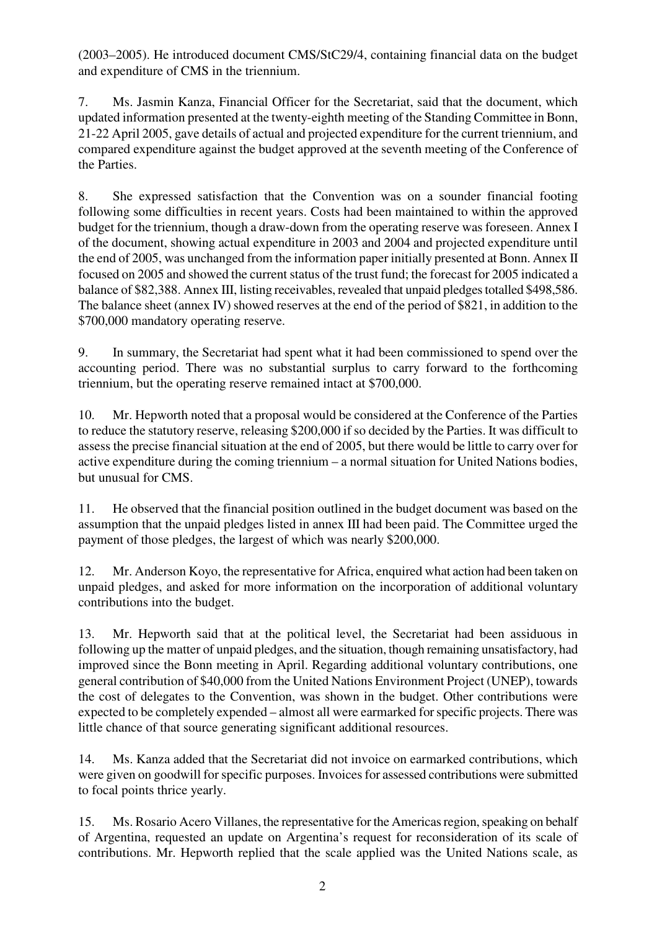(2003–2005). He introduced document CMS/StC29/4, containing financial data on the budget and expenditure of CMS in the triennium.

7. Ms. Jasmin Kanza, Financial Officer for the Secretariat, said that the document, which updated information presented at the twenty-eighth meeting of the Standing Committee in Bonn, 21-22 April 2005, gave details of actual and projected expenditure for the current triennium, and compared expenditure against the budget approved at the seventh meeting of the Conference of the Parties.

8. She expressed satisfaction that the Convention was on a sounder financial footing following some difficulties in recent years. Costs had been maintained to within the approved budget for the triennium, though a draw-down from the operating reserve was foreseen. Annex I of the document, showing actual expenditure in 2003 and 2004 and projected expenditure until the end of 2005, was unchanged from the information paper initially presented at Bonn. Annex II focused on 2005 and showed the current status of the trust fund; the forecast for 2005 indicated a balance of \$82,388. Annex III, listing receivables, revealed that unpaid pledges totalled \$498,586. The balance sheet (annex IV) showed reserves at the end of the period of \$821, in addition to the \$700,000 mandatory operating reserve.

9. In summary, the Secretariat had spent what it had been commissioned to spend over the accounting period. There was no substantial surplus to carry forward to the forthcoming triennium, but the operating reserve remained intact at \$700,000.

10. Mr. Hepworth noted that a proposal would be considered at the Conference of the Parties to reduce the statutory reserve, releasing \$200,000 if so decided by the Parties. It was difficult to assess the precise financial situation at the end of 2005, but there would be little to carry over for active expenditure during the coming triennium – a normal situation for United Nations bodies, but unusual for CMS.

11. He observed that the financial position outlined in the budget document was based on the assumption that the unpaid pledges listed in annex III had been paid. The Committee urged the payment of those pledges, the largest of which was nearly \$200,000.

12. Mr. Anderson Koyo, the representative for Africa, enquired what action had been taken on unpaid pledges, and asked for more information on the incorporation of additional voluntary contributions into the budget.

13. Mr. Hepworth said that at the political level, the Secretariat had been assiduous in following up the matter of unpaid pledges, and the situation, though remaining unsatisfactory, had improved since the Bonn meeting in April. Regarding additional voluntary contributions, one general contribution of \$40,000 from the United Nations Environment Project (UNEP), towards the cost of delegates to the Convention, was shown in the budget. Other contributions were expected to be completely expended – almost all were earmarked for specific projects. There was little chance of that source generating significant additional resources.

14. Ms. Kanza added that the Secretariat did not invoice on earmarked contributions, which were given on goodwill for specific purposes. Invoices for assessed contributions were submitted to focal points thrice yearly.

15. Ms. Rosario Acero Villanes, the representative for the Americas region, speaking on behalf of Argentina, requested an update on Argentina's request for reconsideration of its scale of contributions. Mr. Hepworth replied that the scale applied was the United Nations scale, as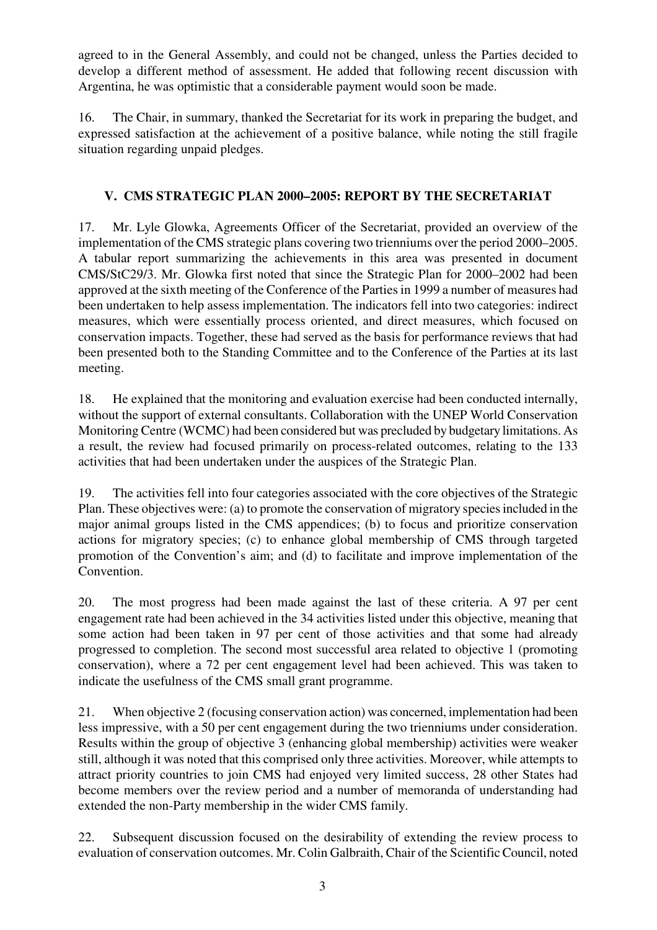agreed to in the General Assembly, and could not be changed, unless the Parties decided to develop a different method of assessment. He added that following recent discussion with Argentina, he was optimistic that a considerable payment would soon be made.

16. The Chair, in summary, thanked the Secretariat for its work in preparing the budget, and expressed satisfaction at the achievement of a positive balance, while noting the still fragile situation regarding unpaid pledges.

# **V. CMS STRATEGIC PLAN 2000–2005: REPORT BY THE SECRETARIAT**

17. Mr. Lyle Glowka, Agreements Officer of the Secretariat, provided an overview of the implementation of the CMS strategic plans covering two trienniums over the period 2000–2005. A tabular report summarizing the achievements in this area was presented in document CMS/StC29/3. Mr. Glowka first noted that since the Strategic Plan for 2000–2002 had been approved at the sixth meeting of the Conference of the Parties in 1999 a number of measures had been undertaken to help assess implementation. The indicators fell into two categories: indirect measures, which were essentially process oriented, and direct measures, which focused on conservation impacts. Together, these had served as the basis for performance reviews that had been presented both to the Standing Committee and to the Conference of the Parties at its last meeting.

18. He explained that the monitoring and evaluation exercise had been conducted internally, without the support of external consultants. Collaboration with the UNEP World Conservation Monitoring Centre (WCMC) had been considered but was precluded by budgetary limitations. As a result, the review had focused primarily on process-related outcomes, relating to the 133 activities that had been undertaken under the auspices of the Strategic Plan.

19. The activities fell into four categories associated with the core objectives of the Strategic Plan. These objectives were: (a) to promote the conservation of migratory species included in the major animal groups listed in the CMS appendices; (b) to focus and prioritize conservation actions for migratory species; (c) to enhance global membership of CMS through targeted promotion of the Convention's aim; and (d) to facilitate and improve implementation of the Convention.

20. The most progress had been made against the last of these criteria. A 97 per cent engagement rate had been achieved in the 34 activities listed under this objective, meaning that some action had been taken in 97 per cent of those activities and that some had already progressed to completion. The second most successful area related to objective 1 (promoting conservation), where a 72 per cent engagement level had been achieved. This was taken to indicate the usefulness of the CMS small grant programme.

21. When objective 2 (focusing conservation action) was concerned, implementation had been less impressive, with a 50 per cent engagement during the two trienniums under consideration. Results within the group of objective 3 (enhancing global membership) activities were weaker still, although it was noted that this comprised only three activities. Moreover, while attempts to attract priority countries to join CMS had enjoyed very limited success, 28 other States had become members over the review period and a number of memoranda of understanding had extended the non-Party membership in the wider CMS family.

22. Subsequent discussion focused on the desirability of extending the review process to evaluation of conservation outcomes. Mr. Colin Galbraith, Chair of the Scientific Council, noted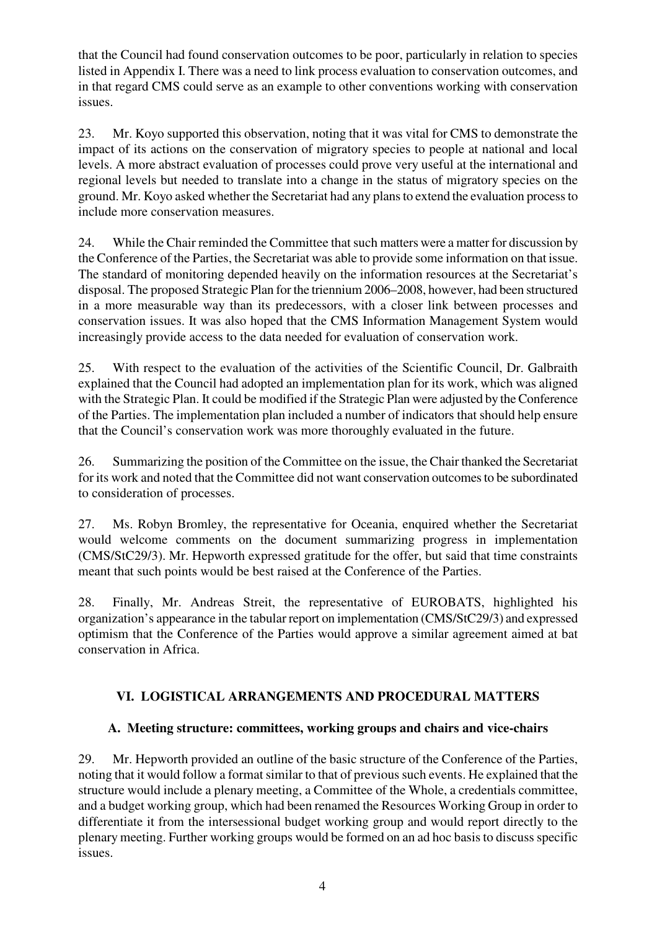that the Council had found conservation outcomes to be poor, particularly in relation to species listed in Appendix I. There was a need to link process evaluation to conservation outcomes, and in that regard CMS could serve as an example to other conventions working with conservation issues.

23. Mr. Koyo supported this observation, noting that it was vital for CMS to demonstrate the impact of its actions on the conservation of migratory species to people at national and local levels. A more abstract evaluation of processes could prove very useful at the international and regional levels but needed to translate into a change in the status of migratory species on the ground. Mr. Koyo asked whether the Secretariat had any plans to extend the evaluation process to include more conservation measures.

24. While the Chair reminded the Committee that such matters were a matter for discussion by the Conference of the Parties, the Secretariat was able to provide some information on that issue. The standard of monitoring depended heavily on the information resources at the Secretariat's disposal. The proposed Strategic Plan for the triennium 2006–2008, however, had been structured in a more measurable way than its predecessors, with a closer link between processes and conservation issues. It was also hoped that the CMS Information Management System would increasingly provide access to the data needed for evaluation of conservation work.

25. With respect to the evaluation of the activities of the Scientific Council, Dr. Galbraith explained that the Council had adopted an implementation plan for its work, which was aligned with the Strategic Plan. It could be modified if the Strategic Plan were adjusted by the Conference of the Parties. The implementation plan included a number of indicators that should help ensure that the Council's conservation work was more thoroughly evaluated in the future.

26. Summarizing the position of the Committee on the issue, the Chair thanked the Secretariat for its work and noted that the Committee did not want conservation outcomes to be subordinated to consideration of processes.

27. Ms. Robyn Bromley, the representative for Oceania, enquired whether the Secretariat would welcome comments on the document summarizing progress in implementation (CMS/StC29/3). Mr. Hepworth expressed gratitude for the offer, but said that time constraints meant that such points would be best raised at the Conference of the Parties.

28. Finally, Mr. Andreas Streit, the representative of EUROBATS, highlighted his organization's appearance in the tabular report on implementation (CMS/StC29/3) and expressed optimism that the Conference of the Parties would approve a similar agreement aimed at bat conservation in Africa.

# **VI. LOGISTICAL ARRANGEMENTS AND PROCEDURAL MATTERS**

# **A. Meeting structure: committees, working groups and chairs and vice-chairs**

29. Mr. Hepworth provided an outline of the basic structure of the Conference of the Parties, noting that it would follow a format similar to that of previous such events. He explained that the structure would include a plenary meeting, a Committee of the Whole, a credentials committee, and a budget working group, which had been renamed the Resources Working Group in order to differentiate it from the intersessional budget working group and would report directly to the plenary meeting. Further working groups would be formed on an ad hoc basis to discuss specific issues.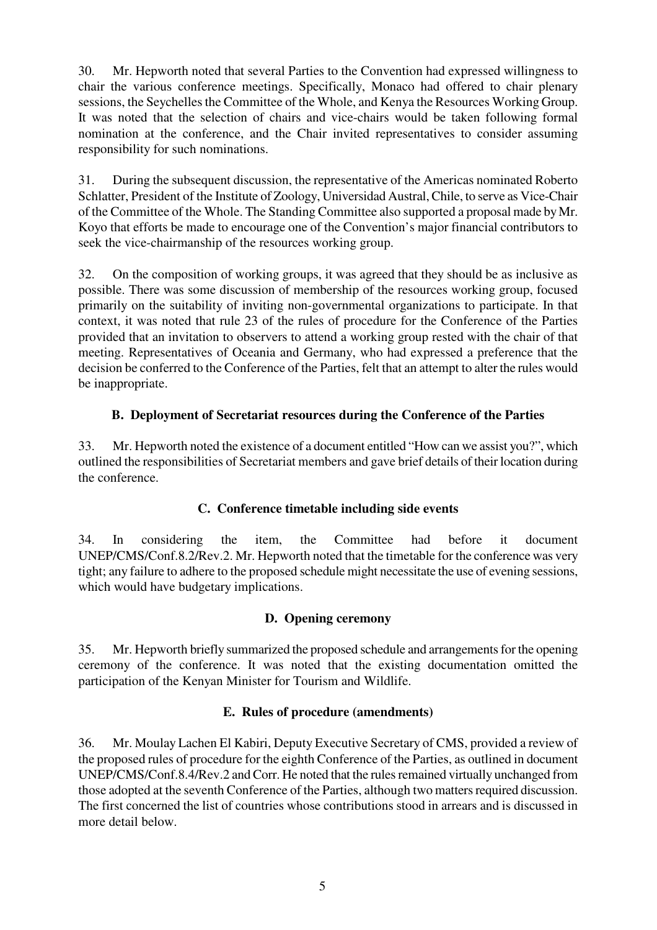30. Mr. Hepworth noted that several Parties to the Convention had expressed willingness to chair the various conference meetings. Specifically, Monaco had offered to chair plenary sessions, the Seychelles the Committee of the Whole, and Kenya the Resources Working Group. It was noted that the selection of chairs and vice-chairs would be taken following formal nomination at the conference, and the Chair invited representatives to consider assuming responsibility for such nominations.

31. During the subsequent discussion, the representative of the Americas nominated Roberto Schlatter, President of the Institute of Zoology, Universidad Austral, Chile, to serve as Vice-Chair of the Committee of the Whole. The Standing Committee also supported a proposal made by Mr. Koyo that efforts be made to encourage one of the Convention's major financial contributors to seek the vice-chairmanship of the resources working group.

32. On the composition of working groups, it was agreed that they should be as inclusive as possible. There was some discussion of membership of the resources working group, focused primarily on the suitability of inviting non-governmental organizations to participate. In that context, it was noted that rule 23 of the rules of procedure for the Conference of the Parties provided that an invitation to observers to attend a working group rested with the chair of that meeting. Representatives of Oceania and Germany, who had expressed a preference that the decision be conferred to the Conference of the Parties, felt that an attempt to alter the rules would be inappropriate.

# **B. Deployment of Secretariat resources during the Conference of the Parties**

33. Mr. Hepworth noted the existence of a document entitled "How can we assist you?", which outlined the responsibilities of Secretariat members and gave brief details of their location during the conference.

# **C. Conference timetable including side events**

34. In considering the item, the Committee had before it document UNEP/CMS/Conf.8.2/Rev.2. Mr. Hepworth noted that the timetable for the conference was very tight; any failure to adhere to the proposed schedule might necessitate the use of evening sessions, which would have budgetary implications.

#### **D. Opening ceremony**

35. Mr. Hepworth briefly summarized the proposed schedule and arrangements for the opening ceremony of the conference. It was noted that the existing documentation omitted the participation of the Kenyan Minister for Tourism and Wildlife.

#### **E. Rules of procedure (amendments)**

36. Mr. Moulay Lachen El Kabiri, Deputy Executive Secretary of CMS, provided a review of the proposed rules of procedure for the eighth Conference of the Parties, as outlined in document UNEP/CMS/Conf.8.4/Rev.2 and Corr. He noted that the rules remained virtually unchanged from those adopted at the seventh Conference of the Parties, although two matters required discussion. The first concerned the list of countries whose contributions stood in arrears and is discussed in more detail below.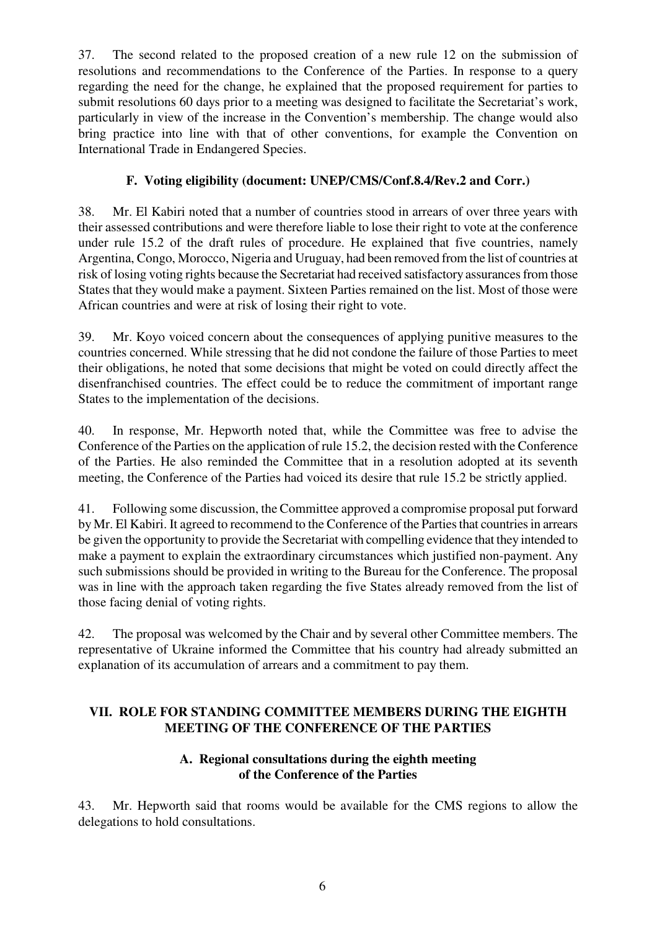37. The second related to the proposed creation of a new rule 12 on the submission of resolutions and recommendations to the Conference of the Parties. In response to a query regarding the need for the change, he explained that the proposed requirement for parties to submit resolutions 60 days prior to a meeting was designed to facilitate the Secretariat's work, particularly in view of the increase in the Convention's membership. The change would also bring practice into line with that of other conventions, for example the Convention on International Trade in Endangered Species.

# **F. Voting eligibility (document: UNEP/CMS/Conf.8.4/Rev.2 and Corr.)**

38. Mr. El Kabiri noted that a number of countries stood in arrears of over three years with their assessed contributions and were therefore liable to lose their right to vote at the conference under rule 15.2 of the draft rules of procedure. He explained that five countries, namely Argentina, Congo, Morocco, Nigeria and Uruguay, had been removed from the list of countries at risk of losing voting rights because the Secretariat had received satisfactory assurances from those States that they would make a payment. Sixteen Parties remained on the list. Most of those were African countries and were at risk of losing their right to vote.

39. Mr. Koyo voiced concern about the consequences of applying punitive measures to the countries concerned. While stressing that he did not condone the failure of those Parties to meet their obligations, he noted that some decisions that might be voted on could directly affect the disenfranchised countries. The effect could be to reduce the commitment of important range States to the implementation of the decisions.

40. In response, Mr. Hepworth noted that, while the Committee was free to advise the Conference of the Parties on the application of rule 15.2, the decision rested with the Conference of the Parties. He also reminded the Committee that in a resolution adopted at its seventh meeting, the Conference of the Parties had voiced its desire that rule 15.2 be strictly applied.

41. Following some discussion, the Committee approved a compromise proposal put forward by Mr. El Kabiri. It agreed to recommend to the Conference of the Parties that countries in arrears be given the opportunity to provide the Secretariat with compelling evidence that they intended to make a payment to explain the extraordinary circumstances which justified non-payment. Any such submissions should be provided in writing to the Bureau for the Conference. The proposal was in line with the approach taken regarding the five States already removed from the list of those facing denial of voting rights.

42. The proposal was welcomed by the Chair and by several other Committee members. The representative of Ukraine informed the Committee that his country had already submitted an explanation of its accumulation of arrears and a commitment to pay them.

# **VII. ROLE FOR STANDING COMMITTEE MEMBERS DURING THE EIGHTH MEETING OF THE CONFERENCE OF THE PARTIES**

### **A. Regional consultations during the eighth meeting of the Conference of the Parties**

43. Mr. Hepworth said that rooms would be available for the CMS regions to allow the delegations to hold consultations.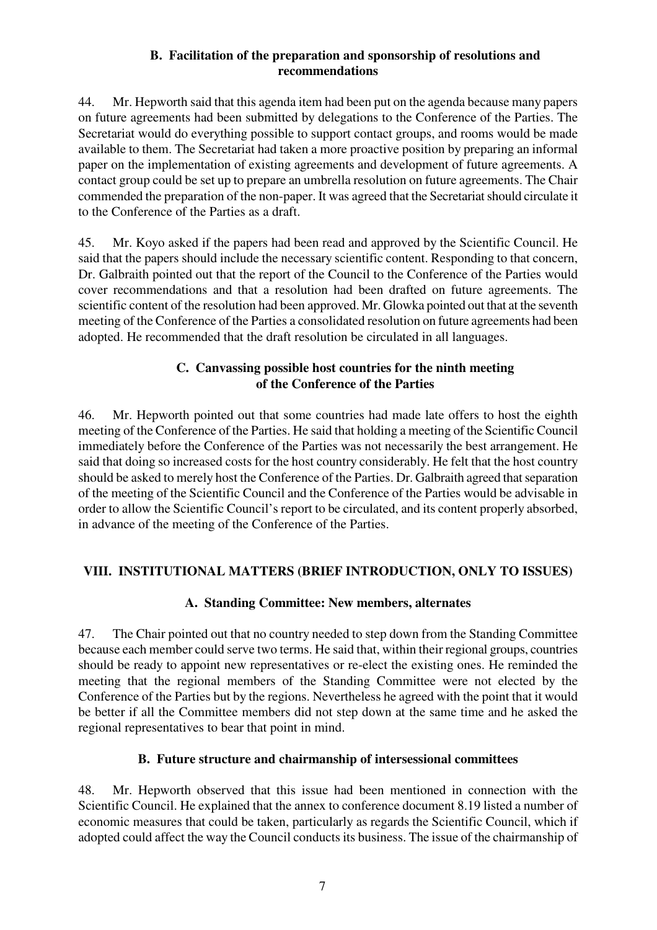#### **B. Facilitation of the preparation and sponsorship of resolutions and recommendations**

44. Mr. Hepworth said that this agenda item had been put on the agenda because many papers on future agreements had been submitted by delegations to the Conference of the Parties. The Secretariat would do everything possible to support contact groups, and rooms would be made available to them. The Secretariat had taken a more proactive position by preparing an informal paper on the implementation of existing agreements and development of future agreements. A contact group could be set up to prepare an umbrella resolution on future agreements. The Chair commended the preparation of the non-paper. It was agreed that the Secretariat should circulate it to the Conference of the Parties as a draft.

45. Mr. Koyo asked if the papers had been read and approved by the Scientific Council. He said that the papers should include the necessary scientific content. Responding to that concern, Dr. Galbraith pointed out that the report of the Council to the Conference of the Parties would cover recommendations and that a resolution had been drafted on future agreements. The scientific content of the resolution had been approved. Mr. Glowka pointed out that at the seventh meeting of the Conference of the Parties a consolidated resolution on future agreements had been adopted. He recommended that the draft resolution be circulated in all languages.

### **C. Canvassing possible host countries for the ninth meeting of the Conference of the Parties**

46. Mr. Hepworth pointed out that some countries had made late offers to host the eighth meeting of the Conference of the Parties. He said that holding a meeting of the Scientific Council immediately before the Conference of the Parties was not necessarily the best arrangement. He said that doing so increased costs for the host country considerably. He felt that the host country should be asked to merely host the Conference of the Parties. Dr. Galbraith agreed that separation of the meeting of the Scientific Council and the Conference of the Parties would be advisable in order to allow the Scientific Council's report to be circulated, and its content properly absorbed, in advance of the meeting of the Conference of the Parties.

# **VIII. INSTITUTIONAL MATTERS (BRIEF INTRODUCTION, ONLY TO ISSUES)**

# **A. Standing Committee: New members, alternates**

47. The Chair pointed out that no country needed to step down from the Standing Committee because each member could serve two terms. He said that, within their regional groups, countries should be ready to appoint new representatives or re-elect the existing ones. He reminded the meeting that the regional members of the Standing Committee were not elected by the Conference of the Parties but by the regions. Nevertheless he agreed with the point that it would be better if all the Committee members did not step down at the same time and he asked the regional representatives to bear that point in mind.

# **B. Future structure and chairmanship of intersessional committees**

48. Mr. Hepworth observed that this issue had been mentioned in connection with the Scientific Council. He explained that the annex to conference document 8.19 listed a number of economic measures that could be taken, particularly as regards the Scientific Council, which if adopted could affect the way the Council conducts its business. The issue of the chairmanship of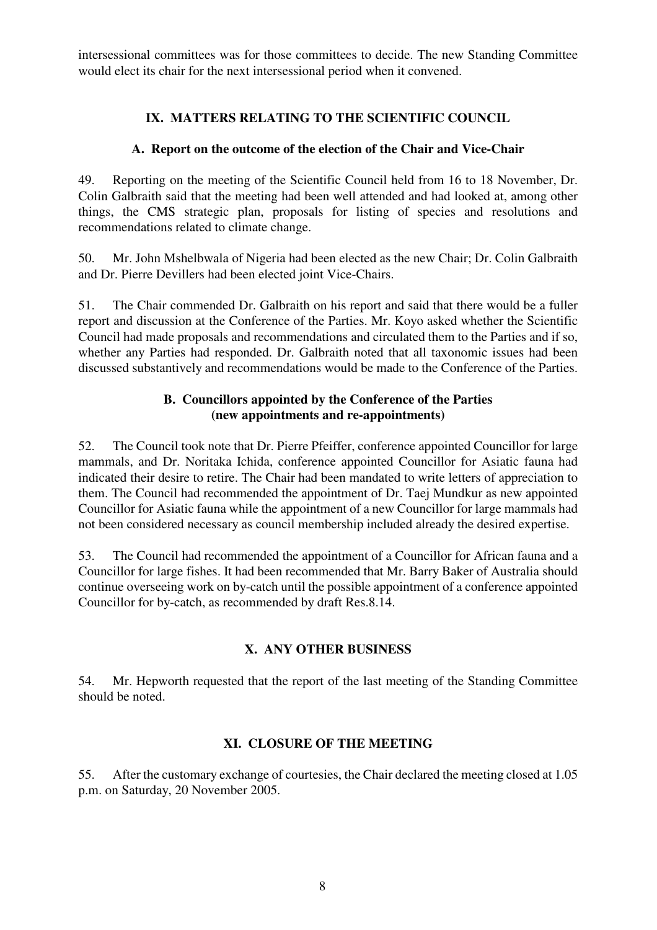intersessional committees was for those committees to decide. The new Standing Committee would elect its chair for the next intersessional period when it convened.

### **IX. MATTERS RELATING TO THE SCIENTIFIC COUNCIL**

#### **A. Report on the outcome of the election of the Chair and Vice-Chair**

49. Reporting on the meeting of the Scientific Council held from 16 to 18 November, Dr. Colin Galbraith said that the meeting had been well attended and had looked at, among other things, the CMS strategic plan, proposals for listing of species and resolutions and recommendations related to climate change.

50. Mr. John Mshelbwala of Nigeria had been elected as the new Chair; Dr. Colin Galbraith and Dr. Pierre Devillers had been elected joint Vice-Chairs.

51. The Chair commended Dr. Galbraith on his report and said that there would be a fuller report and discussion at the Conference of the Parties. Mr. Koyo asked whether the Scientific Council had made proposals and recommendations and circulated them to the Parties and if so, whether any Parties had responded. Dr. Galbraith noted that all taxonomic issues had been discussed substantively and recommendations would be made to the Conference of the Parties.

### **B. Councillors appointed by the Conference of the Parties (new appointments and re-appointments)**

52. The Council took note that Dr. Pierre Pfeiffer, conference appointed Councillor for large mammals, and Dr. Noritaka Ichida, conference appointed Councillor for Asiatic fauna had indicated their desire to retire. The Chair had been mandated to write letters of appreciation to them. The Council had recommended the appointment of Dr. Taej Mundkur as new appointed Councillor for Asiatic fauna while the appointment of a new Councillor for large mammals had not been considered necessary as council membership included already the desired expertise.

53. The Council had recommended the appointment of a Councillor for African fauna and a Councillor for large fishes. It had been recommended that Mr. Barry Baker of Australia should continue overseeing work on by-catch until the possible appointment of a conference appointed Councillor for by-catch, as recommended by draft Res.8.14.

#### **X. ANY OTHER BUSINESS**

54. Mr. Hepworth requested that the report of the last meeting of the Standing Committee should be noted.

# **XI. CLOSURE OF THE MEETING**

55. After the customary exchange of courtesies, the Chair declared the meeting closed at 1.05 p.m. on Saturday, 20 November 2005.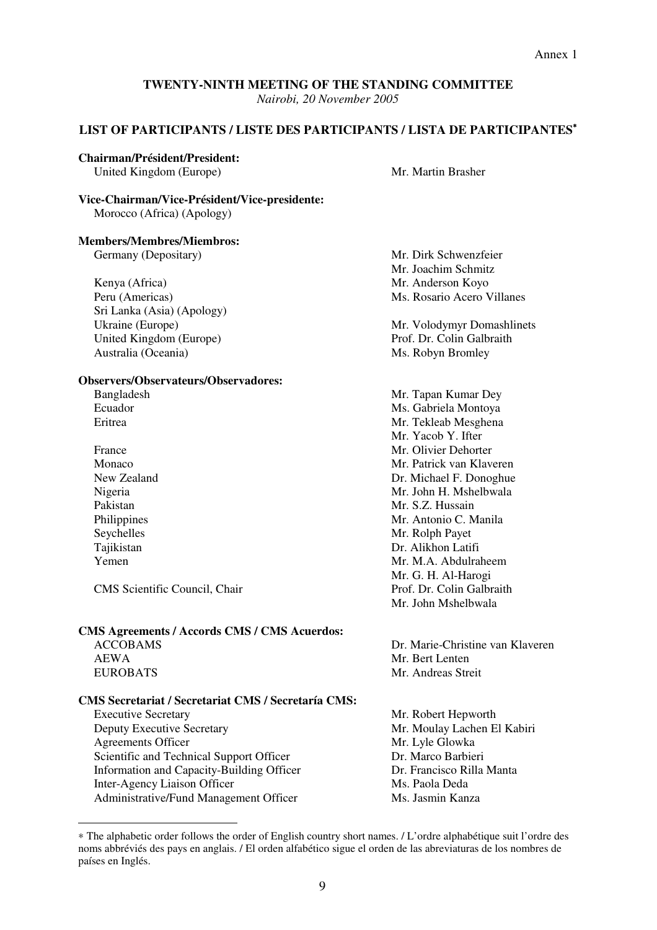*Nairobi, 20 November 2005* 

#### **LIST OF PARTICIPANTS / LISTE DES PARTICIPANTS / LISTA DE PARTICIPANTES**<sup>∗</sup>

#### **Chairman/Président/President:**

United Kingdom (Europe) Mr. Martin Brasher

#### **Vice-Chairman/Vice-Président/Vice-presidente:** Morocco (Africa) (Apology)

#### **Members/Membres/Miembros:**

Germany (Depositary) Mr. Dirk Schwenzfeier

Kenya (Africa) Mr. Anderson Koyo Peru (Americas) Ms. Rosario Acero Villanes Sri Lanka (Asia) (Apology) United Kingdom (Europe) Prof. Dr. Colin Galbraith Australia (Oceania) Ms. Robyn Bromley

#### **Observers/Observateurs/Observadores:**

- 
- 

CMS Scientific Council, Chair **Prof. Dr. Colin Galbraith** Prof. Dr. Colin Galbraith

#### **CMS Agreements / Accords CMS / CMS Acuerdos:**

 $\overline{a}$ 

#### **CMS Secretariat / Secretariat CMS / Secretaría CMS:**

Executive Secretary Mr. Robert Hepworth Deputy Executive Secretary Mr. Moulay Lachen El Kabiri Agreements Officer Mr. Lyle Glowka Scientific and Technical Support Officer Dr. Marco Barbieri Information and Capacity-Building Officer Dr. Francisco Rilla Manta Inter-Agency Liaison Officer Ms. Paola Deda Administrative/Fund Management Officer Ms. Jasmin Kanza

Mr. Joachim Schmitz

Ukraine (Europe) Mr. Volodymyr Domashlinets

Bangladesh Mr. Tapan Kumar Dey Ecuador Ms. Gabriela Montoya Eritrea Mr. Tekleab Mesghena Mr. Yacob Y. Ifter France Mr. Olivier Dehorter Monaco Monaco Mr. Patrick van Klaveren New Zealand **Dr. Michael F. Donoghue** Nigeria Mr. John H. Mshelbwala Pakistan Mr. S.Z. Hussain Philippines Mr. Antonio C. Manila Seychelles Mr. Rolph Payet Tajikistan Dr. Alikhon Latifi Yemen Mr. M.A. Abdulraheem Mr. G. H. Al-Harogi Mr. John Mshelbwala

ACCOBAMS Dr. Marie-Christine van Klaveren AEWA Mr. Bert Lenten EUROBATS Mr. Andreas Streit

<sup>∗</sup> The alphabetic order follows the order of English country short names. / L'ordre alphabétique suit l'ordre des noms abbréviés des pays en anglais. / El orden alfabético sigue el orden de las abreviaturas de los nombres de países en Inglés.